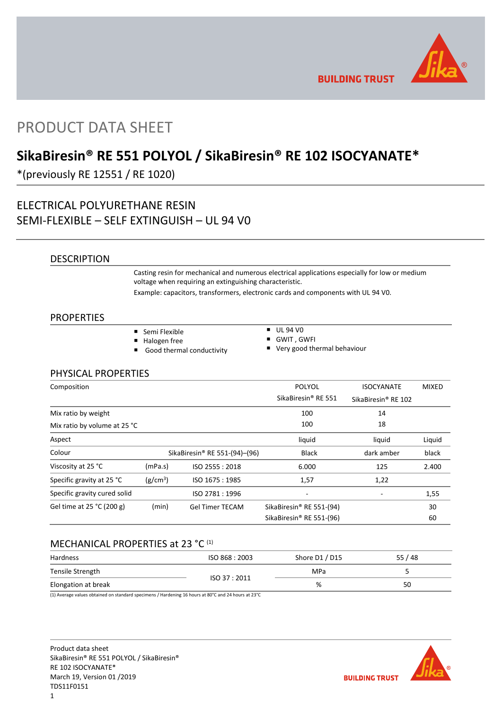

**BUILDING TRUST** 

# PRODUCT DATA SHEET

## **SikaBiresin® RE 551 POLYOL / SikaBiresin® RE 102 ISOCYANATE\***

\*(previously RE 12551 / RE 1020)

## ELECTRICAL POLYURETHANE RESIN SEMI-FLEXIBLE – SELF EXTINGUISH – UL 94 V0

### **DESCRIPTION**

Casting resin for mechanical and numerous electrical applications especially for low or medium voltage when requiring an extinguishing characteristic.

Example: capacitors, transformers, electronic cards and components with UL 94 V0.

### **PROPERTIES**

- Semi Flexible
- Halogen free
- Good thermal conductivity
- $\overline{U}$  UL 94 V<sub>0</sub>
- GWIT , GWFI
- Very good thermal behaviour

### PHYSICAL PROPERTIES

| Composition                  |                      |                               | POLYOL                               | <b>ISOCYANATE</b>               | <b>MIXED</b> |
|------------------------------|----------------------|-------------------------------|--------------------------------------|---------------------------------|--------------|
|                              |                      |                               | SikaBiresin <sup>®</sup> RE 551      | SikaBiresin <sup>®</sup> RE 102 |              |
| Mix ratio by weight          |                      |                               | 100                                  | 14                              |              |
| Mix ratio by volume at 25 °C |                      |                               | 100                                  | 18                              |              |
| Aspect                       |                      |                               | liquid                               | liquid                          | Liquid       |
| Colour                       |                      | SikaBiresin® RE 551-(94)-(96) | <b>Black</b>                         | dark amber                      | black        |
| Viscosity at 25 °C           | (mPa.s)              | ISO 2555: 2018                | 6.000                                | 125                             | 2.400        |
| Specific gravity at 25 °C    | (g/cm <sup>3</sup> ) | ISO 1675 : 1985               | 1,57                                 | 1,22                            |              |
| Specific gravity cured solid |                      | ISO 2781:1996                 |                                      |                                 | 1,55         |
| Gel time at 25 °C (200 g)    | (min)                | <b>Gel Timer TECAM</b>        | SikaBiresin® RE 551-(94)             |                                 | 30           |
|                              |                      |                               | SikaBiresin <sup>®</sup> RE 551-(96) |                                 | 60           |

### MECHANICAL PROPERTIES at 23 °C (1)

| Hardness            | ISO 868 : 2003 | Shore D1 / D15 | 55 / 48 |
|---------------------|----------------|----------------|---------|
| Tensile Strength    | ISO 37:2011    | <b>MPa</b>     |         |
| Elongation at break |                | %              | 50      |

(1) Average values obtained on standard specimens / Hardening 16 hours at 80°C and 24 hours at 23°C

Product data sheet SikaBiresin® RE 551 POLYOL / SikaBiresin® RE 102 ISOCYANATE\* March 19, Version 01 /2019 TDS11F0151 1

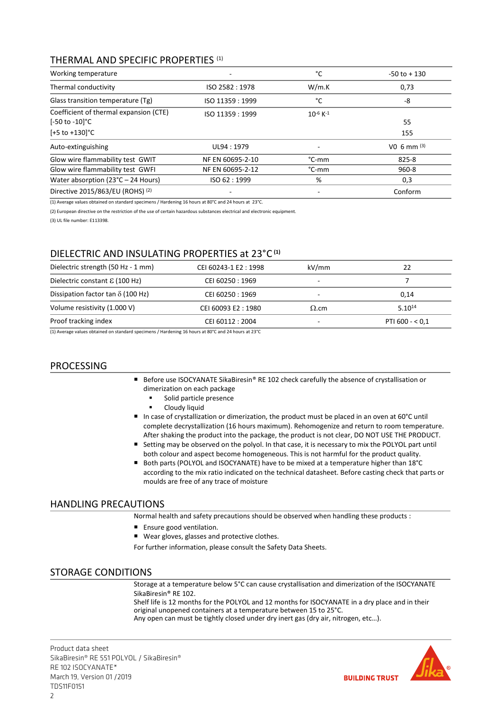### THERMAL AND SPECIFIC PROPERTIES (1)

| Working temperature                                      |                  | °C                        | $-50$ to $+130$           |
|----------------------------------------------------------|------------------|---------------------------|---------------------------|
| Thermal conductivity                                     | ISO 2582: 1978   | W/m.K                     | 0,73                      |
| Glass transition temperature (Tg)                        | ISO 11359: 1999  | °C                        | -8                        |
| Coefficient of thermal expansion (CTE)<br>[-50 to -10]°C | ISO 11359: 1999  | $10^{-6}$ K <sup>-1</sup> | 55                        |
| $[-5 to +130]$ °C                                        |                  |                           | 155                       |
| Auto-extinguishing                                       | UL94: 1979       |                           | V <sub>0</sub> 6 mm $(3)$ |
| Glow wire flammability test GWIT                         | NF EN 60695-2-10 | °C-mm                     | 825-8                     |
| Glow wire flammability test GWFI                         | NF EN 60695-2-12 | $^{\circ}$ C-mm           | $960 - 8$                 |
| Water absorption ( $23^{\circ}$ C – 24 Hours)            | ISO 62:1999      | %                         | 0,3                       |
| Directive 2015/863/EU (ROHS) (2)                         |                  |                           | Conform                   |

(1) Average values obtained on standard specimens / Hardening 16 hours at 80°C and 24 hours at 23°C.

(2) European directive on the restriction of the use of certain hazardous substances electrical and electronic equipment.

(3) UL file number: E113398.

### DIELECTRIC AND INSULATING PROPERTIES at 23°C **(1)**

| Dielectric strength (50 Hz - 1 mm)       | CEI 60243-1 E2: 1998 | kV/mm                    | 22                |
|------------------------------------------|----------------------|--------------------------|-------------------|
| Dielectric constant $\epsilon$ (100 Hz)  | CEI 60250 : 1969     |                          |                   |
| Dissipation factor tan $\delta$ (100 Hz) | CEI 60250: 1969      | -                        | 0.14              |
| Volume resistivity (1.000 V)             | CEI 60093 E2:1980    | $\Omega$ .cm             | $5.10^{14}$       |
| Proof tracking index                     | CEI 60112: 2004      | $\overline{\phantom{a}}$ | PTI 600 - $<$ 0,1 |
| $\cdots$                                 | .<br>.               |                          |                   |

(1) Average values obtained on standard specimens / Hardening 16 hours at 80°C and 24 hours at 23°C

### PROCESSING

- Before use ISOCYANATE SikaBiresin® RE 102 check carefully the absence of crystallisation or dimerization on each package
	- **Solid particle presence**
	- **-** Cloudy liquid
- In case of crystallization or dimerization, the product must be placed in an oven at 60°C until complete decrystallization (16 hours maximum). Rehomogenize and return to room temperature. After shaking the product into the package, the product is not clear, DO NOT USE THE PRODUCT.
- Setting may be observed on the polyol. In that case, it is necessary to mix the POLYOL part until both colour and aspect become homogeneous. This is not harmful for the product quality.
- Both parts (POLYOL and ISOCYANATE) have to be mixed at a temperature higher than 18°C according to the mix ratio indicated on the technical datasheet. Before casting check that parts or moulds are free of any trace of moisture

### HANDLING PRECAUTIONS

Normal health and safety precautions should be observed when handling these products :

- **Ensure good ventilation.**
- Wear gloves, glasses and protective clothes.

For further information, please consult the Safety Data Sheets.

### STORAGE CONDITIONS

Storage at a temperature below 5°C can cause crystallisation and dimerization of the ISOCYANATE SikaBiresin® RE 102.

Shelf life is 12 months for the POLYOL and 12 months for ISOCYANATE in a dry place and in their original unopened containers at a temperature between 15 to 25°C.

Any open can must be tightly closed under dry inert gas (dry air, nitrogen, etc…).

Product data sheet SikaBiresin® RE 551 POLYOL / SikaBiresin® RE 102 ISOCYANATE\* March 19, Version 01 /2019 TDS11F0151

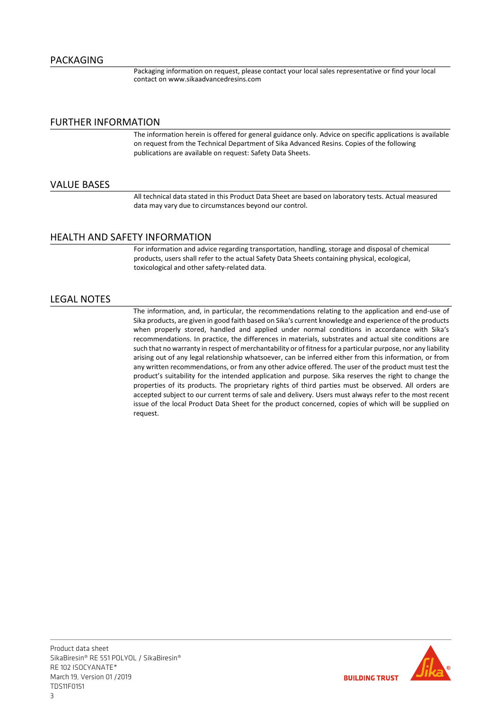Packaging information on request, please contact your local sales representative or find your local contact on www.sikaadvancedresins.com

#### FURTHER INFORMATION

The information herein is offered for general guidance only. Advice on specific applications is available on request from the Technical Department of Sika Advanced Resins. Copies of the following publications are available on request: Safety Data Sheets.

### VALUE BASES

All technical data stated in this Product Data Sheet are based on laboratory tests. Actual measured data may vary due to circumstances beyond our control.

### HEALTH AND SAFETY INFORMATION

For information and advice regarding transportation, handling, storage and disposal of chemical products, users shall refer to the actual Safety Data Sheets containing physical, ecological, toxicological and other safety-related data.

### LEGAL NOTES

The information, and, in particular, the recommendations relating to the application and end-use of Sika products, are given in good faith based on Sika's current knowledge and experience of the products when properly stored, handled and applied under normal conditions in accordance with Sika's recommendations. In practice, the differences in materials, substrates and actual site conditions are such that no warranty in respect of merchantability or of fitness for a particular purpose, nor any liability arising out of any legal relationship whatsoever, can be inferred either from this information, or from any written recommendations, or from any other advice offered. The user of the product must test the product's suitability for the intended application and purpose. Sika reserves the right to change the properties of its products. The proprietary rights of third parties must be observed. All orders are accepted subject to our current terms of sale and delivery. Users must always refer to the most recent issue of the local Product Data Sheet for the product concerned, copies of which will be supplied on request.